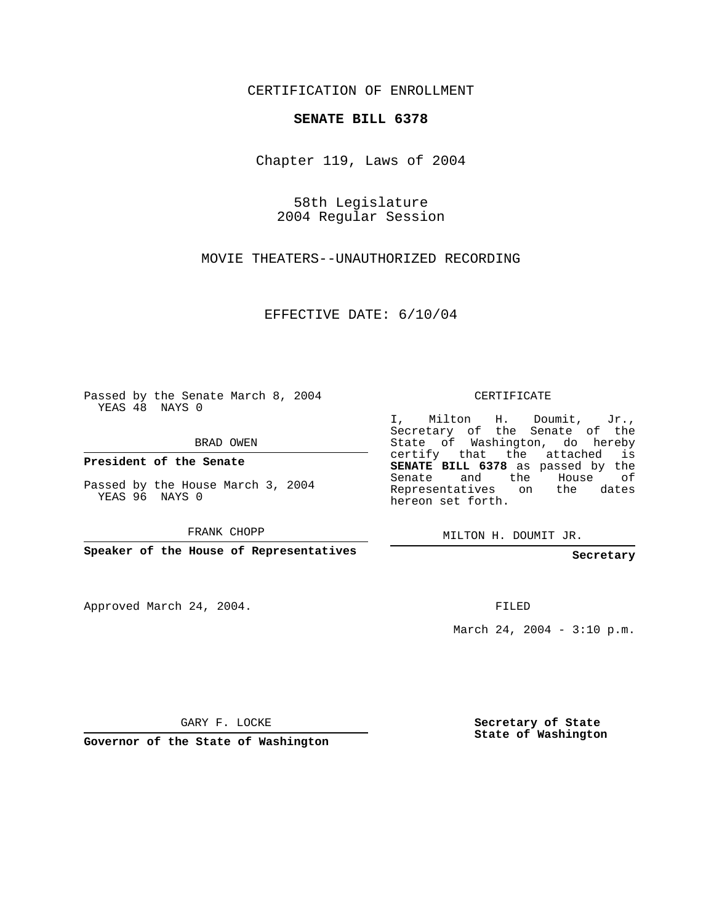CERTIFICATION OF ENROLLMENT

## **SENATE BILL 6378**

Chapter 119, Laws of 2004

58th Legislature 2004 Regular Session

MOVIE THEATERS--UNAUTHORIZED RECORDING

EFFECTIVE DATE: 6/10/04

Passed by the Senate March 8, 2004 YEAS 48 NAYS 0

BRAD OWEN

**President of the Senate**

Passed by the House March 3, 2004 YEAS 96 NAYS 0

FRANK CHOPP

**Speaker of the House of Representatives**

Approved March 24, 2004.

CERTIFICATE

I, Milton H. Doumit, Jr., Secretary of the Senate of the State of Washington, do hereby certify that the attached is **SENATE BILL 6378** as passed by the Senate and the House of Representatives on the dates hereon set forth.

MILTON H. DOUMIT JR.

**Secretary**

FILED

March 24, 2004 - 3:10 p.m.

GARY F. LOCKE

**Governor of the State of Washington**

**Secretary of State State of Washington**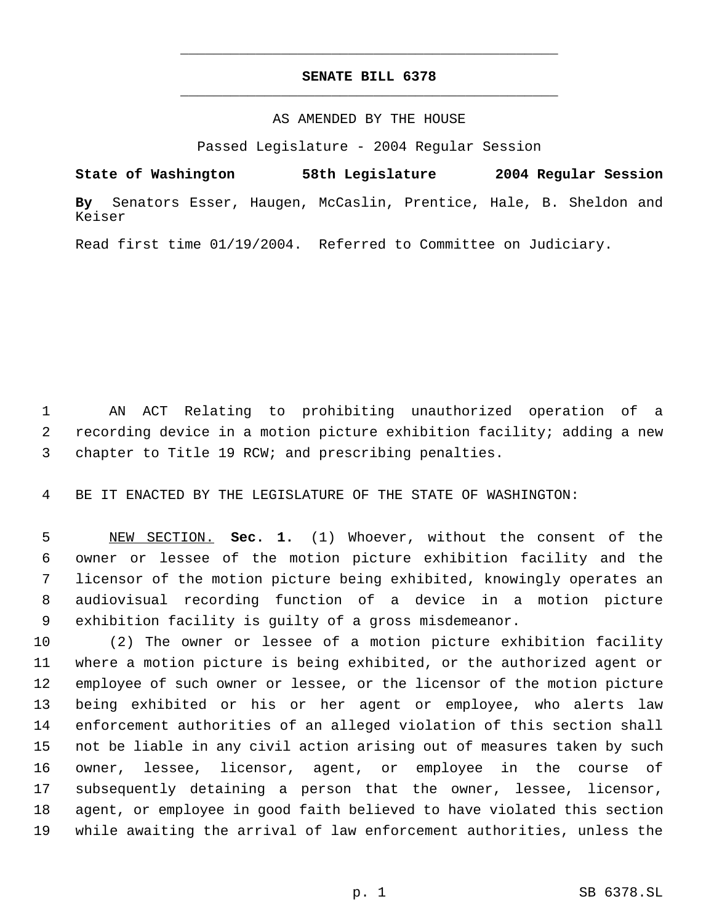## **SENATE BILL 6378** \_\_\_\_\_\_\_\_\_\_\_\_\_\_\_\_\_\_\_\_\_\_\_\_\_\_\_\_\_\_\_\_\_\_\_\_\_\_\_\_\_\_\_\_\_

\_\_\_\_\_\_\_\_\_\_\_\_\_\_\_\_\_\_\_\_\_\_\_\_\_\_\_\_\_\_\_\_\_\_\_\_\_\_\_\_\_\_\_\_\_

## AS AMENDED BY THE HOUSE

Passed Legislature - 2004 Regular Session

**State of Washington 58th Legislature 2004 Regular Session By** Senators Esser, Haugen, McCaslin, Prentice, Hale, B. Sheldon and Keiser

Read first time 01/19/2004. Referred to Committee on Judiciary.

 AN ACT Relating to prohibiting unauthorized operation of a recording device in a motion picture exhibition facility; adding a new chapter to Title 19 RCW; and prescribing penalties.

BE IT ENACTED BY THE LEGISLATURE OF THE STATE OF WASHINGTON:

 NEW SECTION. **Sec. 1.** (1) Whoever, without the consent of the owner or lessee of the motion picture exhibition facility and the licensor of the motion picture being exhibited, knowingly operates an audiovisual recording function of a device in a motion picture exhibition facility is guilty of a gross misdemeanor.

 (2) The owner or lessee of a motion picture exhibition facility where a motion picture is being exhibited, or the authorized agent or employee of such owner or lessee, or the licensor of the motion picture being exhibited or his or her agent or employee, who alerts law enforcement authorities of an alleged violation of this section shall not be liable in any civil action arising out of measures taken by such owner, lessee, licensor, agent, or employee in the course of subsequently detaining a person that the owner, lessee, licensor, agent, or employee in good faith believed to have violated this section while awaiting the arrival of law enforcement authorities, unless the